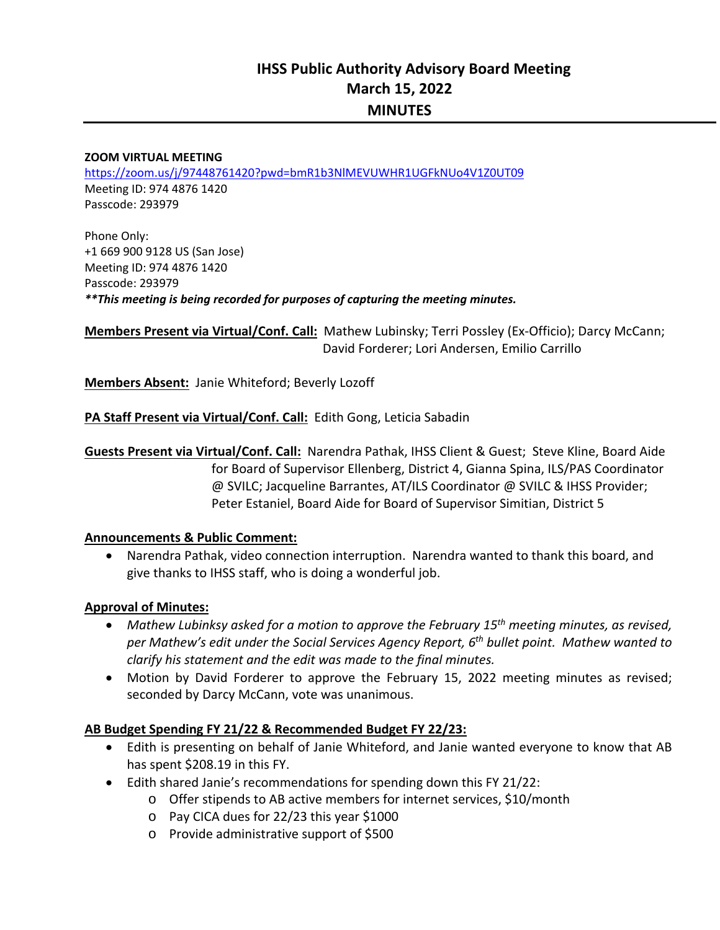#### **ZOOM VIRTUAL MEETING**

https://zoom.us/j/97448761420?pwd=bmR1b3NlMEVUWHR1UGFkNUo4V1Z0UT09 Meeting ID: 974 4876 1420 Passcode: 293979

Phone Only: +1 669 900 9128 US (San Jose) Meeting ID: 974 4876 1420 Passcode: 293979 *\*\*This meeting is being recorded for purposes of capturing the meeting minutes.* 

**Members Present via Virtual/Conf. Call:** Mathew Lubinsky; Terri Possley (Ex‐Officio); Darcy McCann; David Forderer; Lori Andersen, Emilio Carrillo

Members Absent: Janie Whiteford; Beverly Lozoff

**PA Staff Present via Virtual/Conf. Call:** Edith Gong, Leticia Sabadin

**Guests Present via Virtual/Conf. Call:** Narendra Pathak, IHSS Client & Guest; Steve Kline, Board Aide for Board of Supervisor Ellenberg, District 4, Gianna Spina, ILS/PAS Coordinator @ SVILC; Jacqueline Barrantes, AT/ILS Coordinator @ SVILC & IHSS Provider; Peter Estaniel, Board Aide for Board of Supervisor Simitian, District 5

#### **Announcements & Public Comment:**

 Narendra Pathak, video connection interruption. Narendra wanted to thank this board, and give thanks to IHSS staff, who is doing a wonderful job.

#### **Approval of Minutes:**

- *Mathew Lubinksy asked for a motion to approve the February 15th meeting minutes, as revised, per Mathew's edit under the Social Services Agency Report, 6th bullet point. Mathew wanted to clarify his statement and the edit was made to the final minutes.*
- Motion by David Forderer to approve the February 15, 2022 meeting minutes as revised; seconded by Darcy McCann, vote was unanimous.

#### **AB Budget Spending FY 21/22 & Recommended Budget FY 22/23:**

- Edith is presenting on behalf of Janie Whiteford, and Janie wanted everyone to know that AB has spent \$208.19 in this FY.
- Edith shared Janie's recommendations for spending down this FY 21/22:
	- o Offer stipends to AB active members for internet services, \$10/month
	- o Pay CICA dues for 22/23 this year \$1000
	- o Provide administrative support of \$500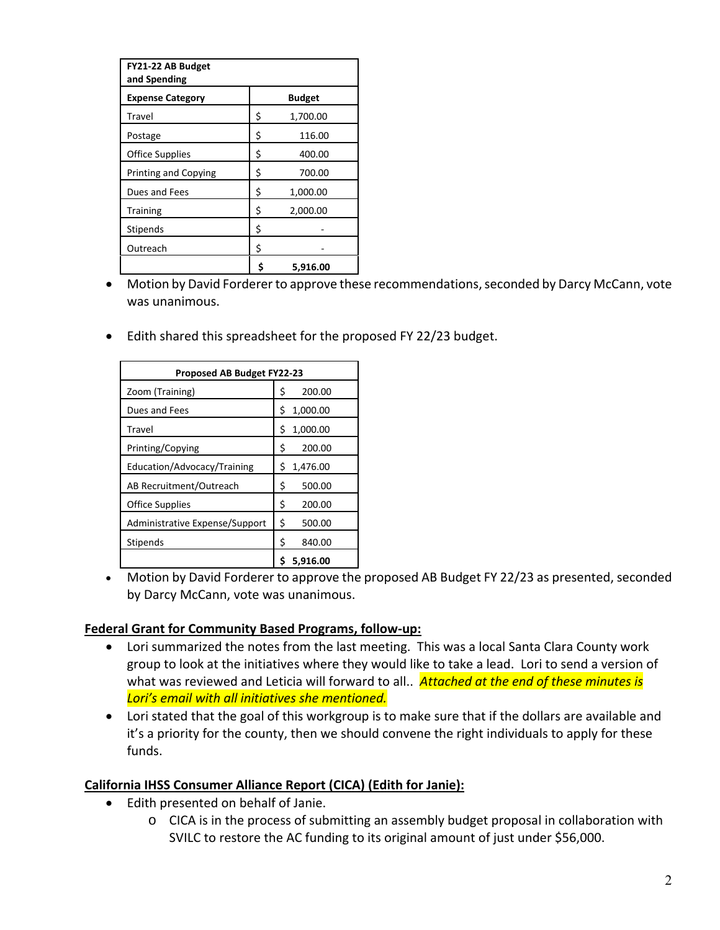| FY21-22 AB Budget<br>and Spending |    |               |
|-----------------------------------|----|---------------|
| <b>Expense Category</b>           |    | <b>Budget</b> |
| Travel                            | \$ | 1,700.00      |
| Postage                           | \$ | 116.00        |
| <b>Office Supplies</b>            | \$ | 400.00        |
| <b>Printing and Copying</b>       | \$ | 700.00        |
| Dues and Fees                     | \$ | 1,000.00      |
| <b>Training</b>                   | \$ | 2,000.00      |
| Stipends                          | \$ |               |
| Outreach                          | \$ |               |
|                                   | Ś  | 5.916.00      |

- Motion by David Forderer to approve these recommendations, seconded by Darcy McCann, vote was unanimous.
- Edith shared this spreadsheet for the proposed FY 22/23 budget.

| <b>Proposed AB Budget FY22-23</b> |                |  |  |  |
|-----------------------------------|----------------|--|--|--|
| Zoom (Training)                   | 200.00<br>\$   |  |  |  |
| Dues and Fees                     | Ś<br>1,000.00  |  |  |  |
| Travel                            | 1,000.00<br>\$ |  |  |  |
| Printing/Copying                  | Ś<br>200.00    |  |  |  |
| Education/Advocacy/Training       | 1,476.00<br>S  |  |  |  |
| AB Recruitment/Outreach           | \$<br>500.00   |  |  |  |
| <b>Office Supplies</b>            | \$<br>200.00   |  |  |  |
| Administrative Expense/Support    | \$<br>500.00   |  |  |  |
| Stipends                          | \$<br>840.00   |  |  |  |
|                                   | 5.916.00<br>\$ |  |  |  |

 Motion by David Forderer to approve the proposed AB Budget FY 22/23 as presented, seconded by Darcy McCann, vote was unanimous.

## **Federal Grant for Community Based Programs, follow‐up:**

- Lori summarized the notes from the last meeting. This was a local Santa Clara County work group to look at the initiatives where they would like to take a lead. Lori to send a version of what was reviewed and Leticia will forward to all.. *Attached at the end of these minutes is Lori's email with all initiatives she mentioned.*
- Lori stated that the goal of this workgroup is to make sure that if the dollars are available and it's a priority for the county, then we should convene the right individuals to apply for these funds.

## **California IHSS Consumer Alliance Report (CICA) (Edith for Janie):**

- Edith presented on behalf of Janie.
	- o CICA is in the process of submitting an assembly budget proposal in collaboration with SVILC to restore the AC funding to its original amount of just under \$56,000.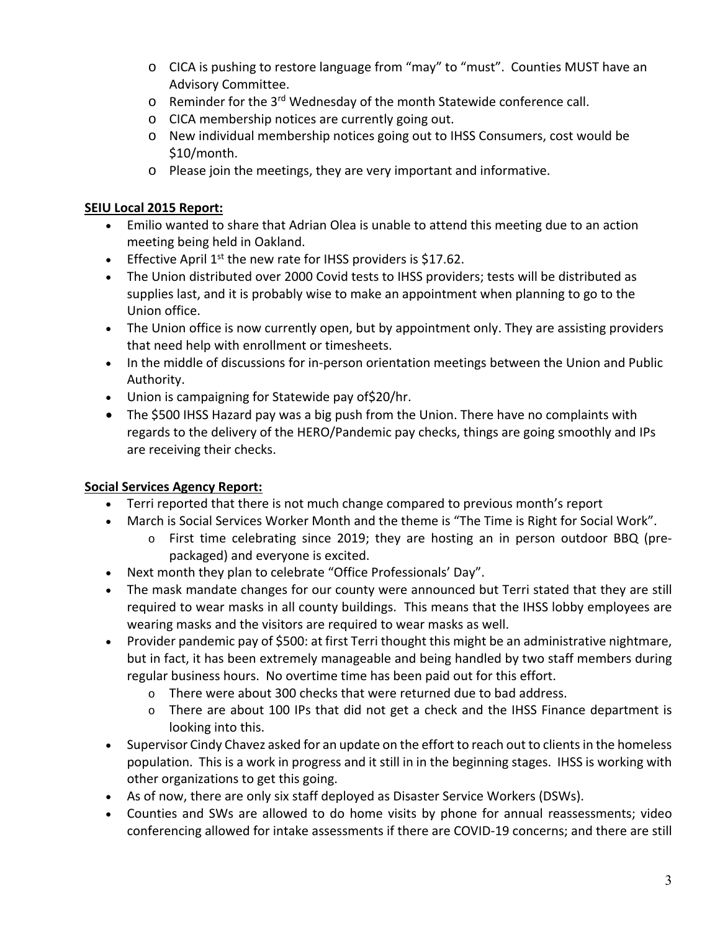- o CICA is pushing to restore language from "may" to "must". Counties MUST have an Advisory Committee.
- o Reminder for the 3rd Wednesday of the month Statewide conference call.
- o CICA membership notices are currently going out.
- o New individual membership notices going out to IHSS Consumers, cost would be \$10/month.
- o Please join the meetings, they are very important and informative.

# **SEIU Local 2015 Report:**

- Emilio wanted to share that Adrian Olea is unable to attend this meeting due to an action meeting being held in Oakland.
- **Effective April 1st the new rate for IHSS providers is \$17.62.**
- The Union distributed over 2000 Covid tests to IHSS providers; tests will be distributed as supplies last, and it is probably wise to make an appointment when planning to go to the Union office.
- The Union office is now currently open, but by appointment only. They are assisting providers that need help with enrollment or timesheets.
- In the middle of discussions for in-person orientation meetings between the Union and Public Authority.
- Union is campaigning for Statewide pay of\$20/hr.
- The \$500 IHSS Hazard pay was a big push from the Union. There have no complaints with regards to the delivery of the HERO/Pandemic pay checks, things are going smoothly and IPs are receiving their checks.

# **Social Services Agency Report:**

- Terri reported that there is not much change compared to previous month's report
- March is Social Services Worker Month and the theme is "The Time is Right for Social Work".
	- o First time celebrating since 2019; they are hosting an in person outdoor BBQ (pre‐ packaged) and everyone is excited.
- Next month they plan to celebrate "Office Professionals' Day".
- The mask mandate changes for our county were announced but Terri stated that they are still required to wear masks in all county buildings. This means that the IHSS lobby employees are wearing masks and the visitors are required to wear masks as well.
- Provider pandemic pay of \$500: at first Terri thought this might be an administrative nightmare, but in fact, it has been extremely manageable and being handled by two staff members during regular business hours. No overtime time has been paid out for this effort.
	- o There were about 300 checks that were returned due to bad address.
	- o There are about 100 IPs that did not get a check and the IHSS Finance department is looking into this.
- Supervisor Cindy Chavez asked for an update on the effort to reach out to clients in the homeless population. This is a work in progress and it still in in the beginning stages. IHSS is working with other organizations to get this going.
- As of now, there are only six staff deployed as Disaster Service Workers (DSWs).
- Counties and SWs are allowed to do home visits by phone for annual reassessments; video conferencing allowed for intake assessments if there are COVID‐19 concerns; and there are still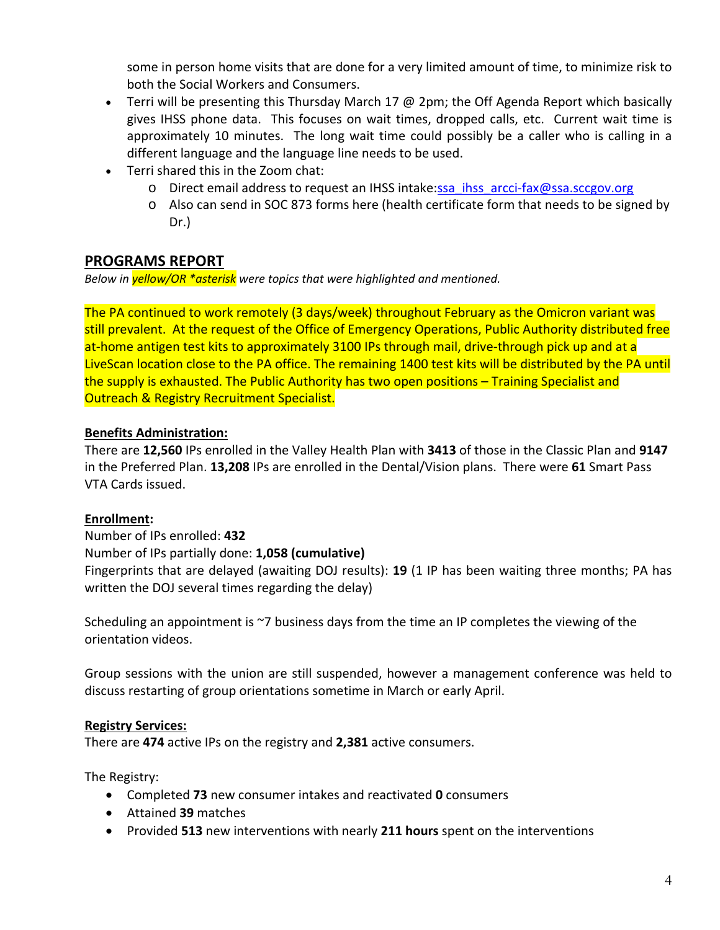some in person home visits that are done for a very limited amount of time, to minimize risk to both the Social Workers and Consumers.

- **•** Terri will be presenting this Thursday March 17 @ 2pm; the Off Agenda Report which basically gives IHSS phone data. This focuses on wait times, dropped calls, etc. Current wait time is approximately 10 minutes. The long wait time could possibly be a caller who is calling in a different language and the language line needs to be used.
- Terri shared this in the Zoom chat:
	- o Direct email address to request an IHSS intake:ssa\_ihss\_arcci-fax@ssa.sccgov.org
	- o Also can send in SOC 873 forms here (health certificate form that needs to be signed by Dr.)

# **PROGRAMS REPORT**

*Below in yellow/OR \*asterisk were topics that were highlighted and mentioned.* 

The PA continued to work remotely (3 days/week) throughout February as the Omicron variant was still prevalent. At the request of the Office of Emergency Operations, Public Authority distributed free at-home antigen test kits to approximately 3100 IPs through mail, drive-through pick up and at a LiveScan location close to the PA office. The remaining 1400 test kits will be distributed by the PA until the supply is exhausted. The Public Authority has two open positions – Training Specialist and Outreach & Registry Recruitment Specialist.

# **Benefits Administration:**

There are **12,560** IPs enrolled in the Valley Health Plan with **3413** of those in the Classic Plan and **9147**  in the Preferred Plan. **13,208** IPs are enrolled in the Dental/Vision plans. There were **61** Smart Pass VTA Cards issued.

## **Enrollment:**

Number of IPs enrolled: **432**  Number of IPs partially done: **1,058 (cumulative)** Fingerprints that are delayed (awaiting DOJ results): **19** (1 IP has been waiting three months; PA has written the DOJ several times regarding the delay)

Scheduling an appointment is ~7 business days from the time an IP completes the viewing of the orientation videos.

Group sessions with the union are still suspended, however a management conference was held to discuss restarting of group orientations sometime in March or early April.

## **Registry Services:**

There are **474** active IPs on the registry and **2,381** active consumers.

The Registry:

- Completed **73** new consumer intakes and reactivated **0** consumers
- Attained **39** matches
- Provided **513** new interventions with nearly **211 hours** spent on the interventions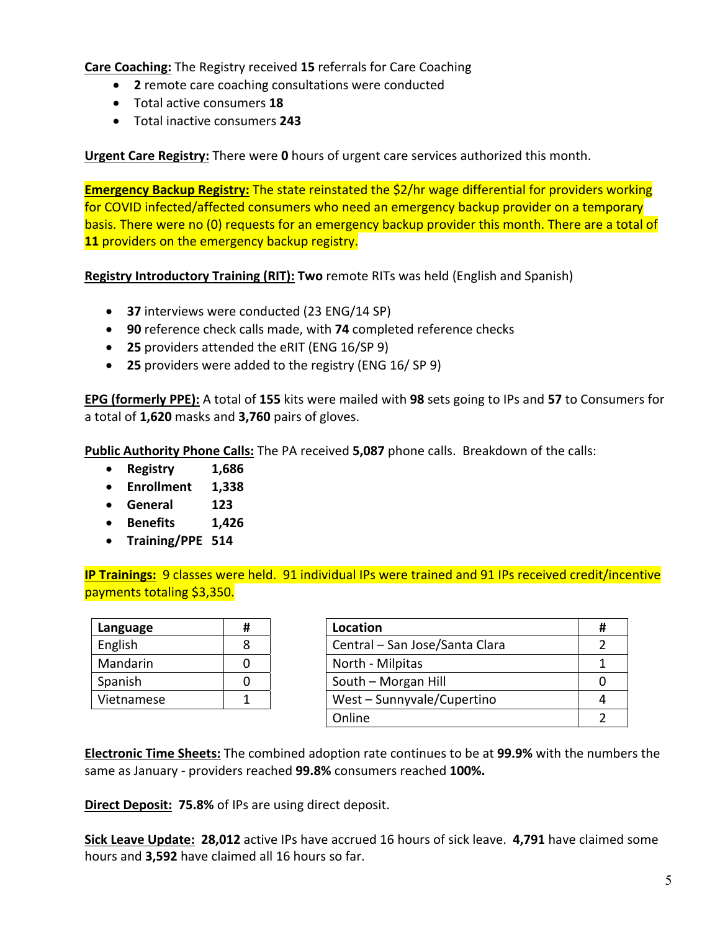**Care Coaching:** The Registry received **15** referrals for Care Coaching

- **2** remote care coaching consultations were conducted
- Total active consumers **18**
- Total inactive consumers **243**

**Urgent Care Registry:** There were **0** hours of urgent care services authorized this month.

**Emergency Backup Registry:** The state reinstated the \$2/hr wage differential for providers working for COVID infected/affected consumers who need an emergency backup provider on a temporary basis. There were no (0) requests for an emergency backup provider this month. There are a total of **11** providers on the emergency backup registry.

**Registry Introductory Training (RIT): Two** remote RITs was held (English and Spanish)

- **37** interviews were conducted (23 ENG/14 SP)
- **90** reference check calls made, with **74** completed reference checks
- **25** providers attended the eRIT (ENG 16/SP 9)
- **25** providers were added to the registry (ENG 16/ SP 9)

**EPG (formerly PPE):** A total of **155** kits were mailed with **98** sets going to IPs and **57** to Consumers for a total of **1,620** masks and **3,760** pairs of gloves.

**Public Authority Phone Calls:** The PA received **5,087** phone calls. Breakdown of the calls:

- **Registry 1,686**
- **Enrollment 1,338**
- **General 123**
- **Benefits 1,426**
- **Training/PPE 514**

**IP Trainings:** 9 classes were held. 91 individual IPs were trained and 91 IPs received credit/incentive payments totaling \$3,350.

| Language   | # |
|------------|---|
| English    | R |
| Mandarin   |   |
| Spanish    |   |
| Vietnamese |   |

| Language   | Location                       |  |
|------------|--------------------------------|--|
| English    | Central - San Jose/Santa Clara |  |
| Mandarin   | North - Milpitas               |  |
| Spanish    | South - Morgan Hill            |  |
| Vietnamese | West - Sunnyvale/Cupertino     |  |
|            | Online                         |  |

**Electronic Time Sheets:** The combined adoption rate continues to be at **99.9%** with the numbers the same as January ‐ providers reached **99.8%** consumers reached **100%.**

**Direct Deposit: 75.8%** of IPs are using direct deposit.

**Sick Leave Update: 28,012** active IPs have accrued 16 hours of sick leave. **4,791** have claimed some hours and **3,592** have claimed all 16 hours so far.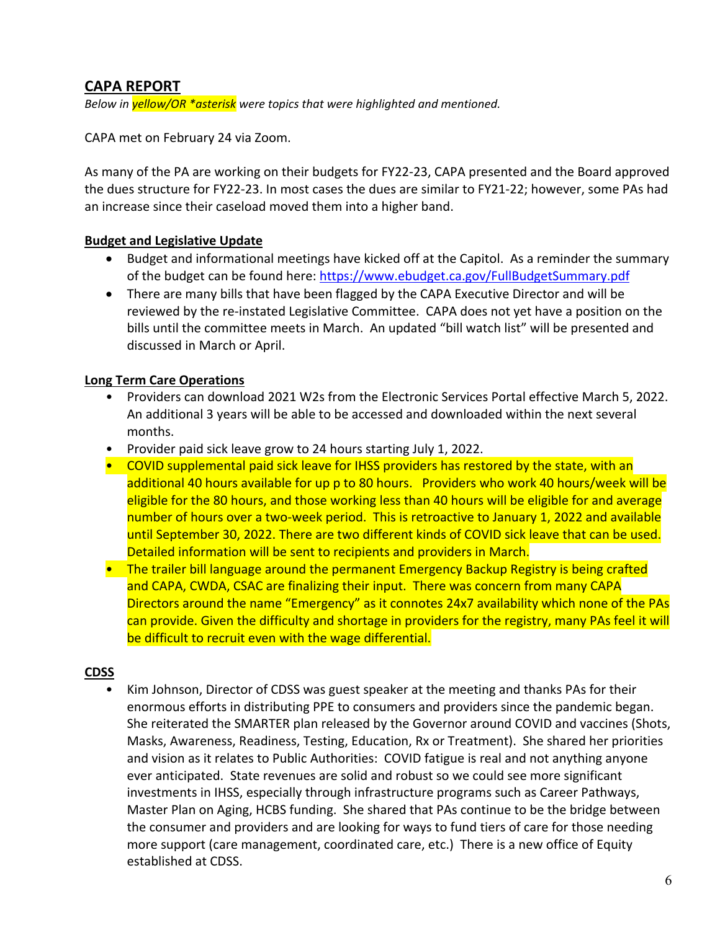# **CAPA REPORT**

*Below in yellow/OR \*asterisk were topics that were highlighted and mentioned.* 

CAPA met on February 24 via Zoom.

As many of the PA are working on their budgets for FY22‐23, CAPA presented and the Board approved the dues structure for FY22‐23. In most cases the dues are similar to FY21‐22; however, some PAs had an increase since their caseload moved them into a higher band.

### **Budget and Legislative Update**

- Budget and informational meetings have kicked off at the Capitol. As a reminder the summary of the budget can be found here: https://www.ebudget.ca.gov/FullBudgetSummary.pdf
- There are many bills that have been flagged by the CAPA Executive Director and will be reviewed by the re‐instated Legislative Committee. CAPA does not yet have a position on the bills until the committee meets in March. An updated "bill watch list" will be presented and discussed in March or April.

### **Long Term Care Operations**

- Providers can download 2021 W2s from the Electronic Services Portal effective March 5, 2022. An additional 3 years will be able to be accessed and downloaded within the next several months.
- Provider paid sick leave grow to 24 hours starting July 1, 2022.
- COVID supplemental paid sick leave for IHSS providers has restored by the state, with an additional 40 hours available for up p to 80 hours. Providers who work 40 hours/week will be eligible for the 80 hours, and those working less than 40 hours will be eligible for and average number of hours over a two-week period. This is retroactive to January 1, 2022 and available until September 30, 2022. There are two different kinds of COVID sick leave that can be used. Detailed information will be sent to recipients and providers in March.
- The trailer bill language around the permanent Emergency Backup Registry is being crafted and CAPA, CWDA, CSAC are finalizing their input. There was concern from many CAPA Directors around the name "Emergency" as it connotes 24x7 availability which none of the PAs can provide. Given the difficulty and shortage in providers for the registry, many PAs feel it will be difficult to recruit even with the wage differential.

#### **CDSS**

• Kim Johnson, Director of CDSS was guest speaker at the meeting and thanks PAs for their enormous efforts in distributing PPE to consumers and providers since the pandemic began. She reiterated the SMARTER plan released by the Governor around COVID and vaccines (Shots, Masks, Awareness, Readiness, Testing, Education, Rx or Treatment). She shared her priorities and vision as it relates to Public Authorities: COVID fatigue is real and not anything anyone ever anticipated. State revenues are solid and robust so we could see more significant investments in IHSS, especially through infrastructure programs such as Career Pathways, Master Plan on Aging, HCBS funding. She shared that PAs continue to be the bridge between the consumer and providers and are looking for ways to fund tiers of care for those needing more support (care management, coordinated care, etc.) There is a new office of Equity established at CDSS.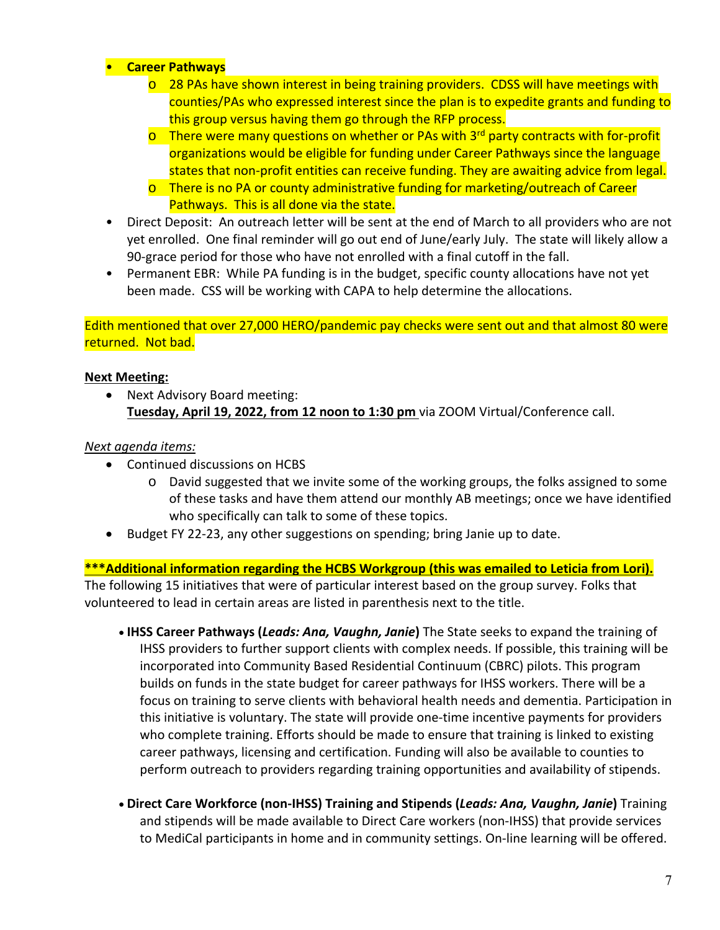## • **Career Pathways**

- $\circ$  28 PAs have shown interest in being training providers. CDSS will have meetings with counties/PAs who expressed interest since the plan is to expedite grants and funding to this group versus having them go through the RFP process.
- $\circ$  There were many questions on whether or PAs with 3<sup>rd</sup> party contracts with for-profit organizations would be eligible for funding under Career Pathways since the language states that non‐profit entities can receive funding. They are awaiting advice from legal.
- o There is no PA or county administrative funding for marketing/outreach of Career Pathways. This is all done via the state.
- Direct Deposit: An outreach letter will be sent at the end of March to all providers who are not yet enrolled. One final reminder will go out end of June/early July. The state will likely allow a 90‐grace period for those who have not enrolled with a final cutoff in the fall.
- Permanent EBR: While PA funding is in the budget, specific county allocations have not yet been made. CSS will be working with CAPA to help determine the allocations.

Edith mentioned that over 27,000 HERO/pandemic pay checks were sent out and that almost 80 were returned. Not bad.

### **Next Meeting:**

 Next Advisory Board meeting: **Tuesday, April 19, 2022, from 12 noon to 1:30 pm** via ZOOM Virtual/Conference call.

### *Next agenda items:*

- Continued discussions on HCBS
	- o David suggested that we invite some of the working groups, the folks assigned to some of these tasks and have them attend our monthly AB meetings; once we have identified who specifically can talk to some of these topics.
- Budget FY 22-23, any other suggestions on spending; bring Janie up to date.

**\*\*\*Additional information regarding the HCBS Workgroup (this was emailed to Leticia from Lori).**  The following 15 initiatives that were of particular interest based on the group survey. Folks that volunteered to lead in certain areas are listed in parenthesis next to the title.

- **IHSS Career Pathways (***Leads: Ana, Vaughn, Janie***)** The State seeks to expand the training of IHSS providers to further support clients with complex needs. If possible, this training will be incorporated into Community Based Residential Continuum (CBRC) pilots. This program builds on funds in the state budget for career pathways for IHSS workers. There will be a focus on training to serve clients with behavioral health needs and dementia. Participation in this initiative is voluntary. The state will provide one‐time incentive payments for providers who complete training. Efforts should be made to ensure that training is linked to existing career pathways, licensing and certification. Funding will also be available to counties to perform outreach to providers regarding training opportunities and availability of stipends.
- **Direct Care Workforce (non‐IHSS) Training and Stipends (***Leads: Ana, Vaughn, Janie***)** Training and stipends will be made available to Direct Care workers (non-IHSS) that provide services to MediCal participants in home and in community settings. On‐line learning will be offered.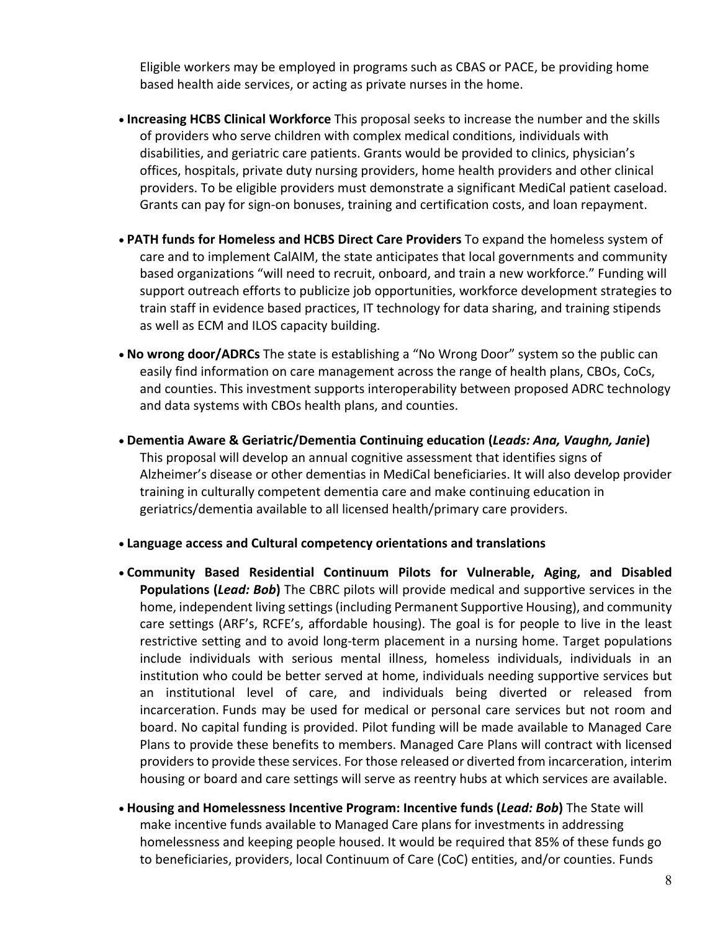Eligible workers may be employed in programs such as CBAS or PACE, be providing home based health aide services, or acting as private nurses in the home.

- **Increasing HCBS Clinical Workforce** This proposal seeks to increase the number and the skills of providers who serve children with complex medical conditions, individuals with disabilities, and geriatric care patients. Grants would be provided to clinics, physician's offices, hospitals, private duty nursing providers, home health providers and other clinical providers. To be eligible providers must demonstrate a significant MediCal patient caseload. Grants can pay for sign-on bonuses, training and certification costs, and loan repayment.
- **PATH funds for Homeless and HCBS Direct Care Providers** To expand the homeless system of care and to implement CalAIM, the state anticipates that local governments and community based organizations "will need to recruit, onboard, and train a new workforce." Funding will support outreach efforts to publicize job opportunities, workforce development strategies to train staff in evidence based practices, IT technology for data sharing, and training stipends as well as ECM and ILOS capacity building.
- **No wrong door/ADRCs** The state is establishing a "No Wrong Door" system so the public can easily find information on care management across the range of health plans, CBOs, CoCs, and counties. This investment supports interoperability between proposed ADRC technology and data systems with CBOs health plans, and counties.
- **Dementia Aware & Geriatric/Dementia Continuing education (***Leads: Ana, Vaughn, Janie***)**  This proposal will develop an annual cognitive assessment that identifies signs of Alzheimer's disease or other dementias in MediCal beneficiaries. It will also develop provider training in culturally competent dementia care and make continuing education in geriatrics/dementia available to all licensed health/primary care providers.
- **Language access and Cultural competency orientations and translations**
- **Community Based Residential Continuum Pilots for Vulnerable, Aging, and Disabled Populations (***Lead: Bob***)** The CBRC pilots will provide medical and supportive services in the home, independent living settings (including Permanent Supportive Housing), and community care settings (ARF's, RCFE's, affordable housing). The goal is for people to live in the least restrictive setting and to avoid long‐term placement in a nursing home. Target populations include individuals with serious mental illness, homeless individuals, individuals in an institution who could be better served at home, individuals needing supportive services but an institutional level of care, and individuals being diverted or released from incarceration. Funds may be used for medical or personal care services but not room and board. No capital funding is provided. Pilot funding will be made available to Managed Care Plans to provide these benefits to members. Managed Care Plans will contract with licensed providers to provide these services. For those released or diverted from incarceration, interim housing or board and care settings will serve as reentry hubs at which services are available.
- **Housing and Homelessness Incentive Program: Incentive funds (***Lead: Bob***)** The State will make incentive funds available to Managed Care plans for investments in addressing homelessness and keeping people housed. It would be required that 85% of these funds go to beneficiaries, providers, local Continuum of Care (CoC) entities, and/or counties. Funds